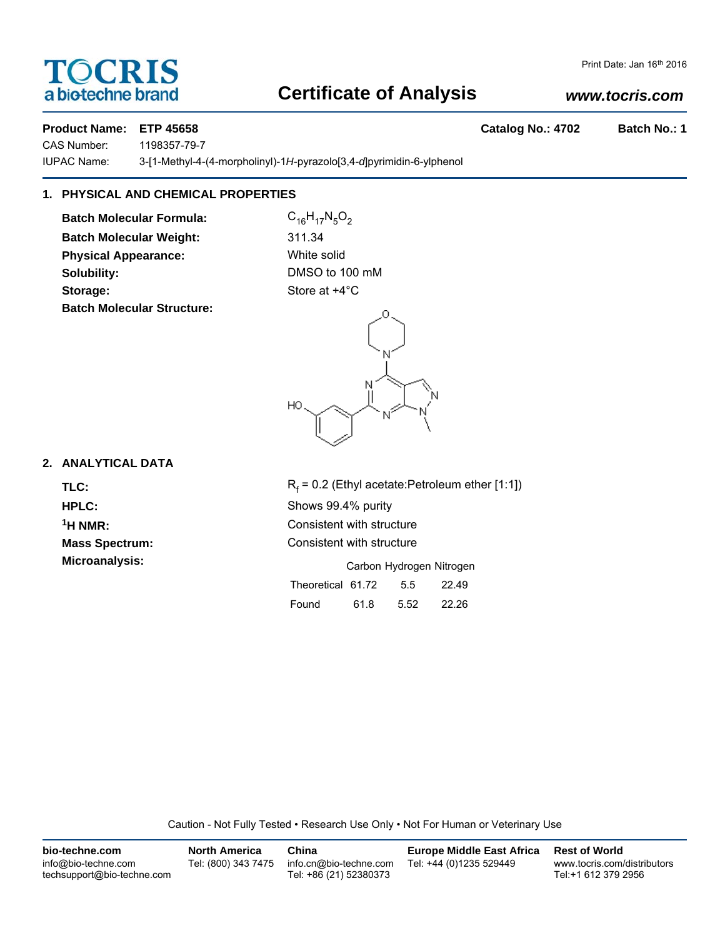# TOCRIS a biotechne brand

# **Certificate of Analysis**

# *www.tocris.com*

**Product Name: ETP 45658 Catalog No.: 4702 Batch No.: 1**

CAS Number: 1198357-79-7

IUPAC Name: 3-[1-Methyl-4-(4-morpholinyl)-1*H*-pyrazolo[3,4-*d*]pyrimidin-6-ylphenol

# **1. PHYSICAL AND CHEMICAL PROPERTIES**

**Batch Molecular Formula:** C<sub>16</sub>H<sub>17</sub>N<sub>5</sub>O<sub>2</sub> **Batch Molecular Weight:** 311.34 **Physical Appearance:** White solid **Solubility:** DMSO to 100 mM **Storage:** Store at  $+4^{\circ}$ C **Batch Molecular Structure:**

HO

# **2. ANALYTICAL DATA**

TLC: R<sub>f</sub>

 $R_f$  = 0.2 (Ethyl acetate:Petroleum ether [1:1]) **HPLC:** Shows 99.4% purity <sup>1</sup>H NMR: Consistent with structure **Mass Spectrum:** Consistent with structure **Microanalysis:** Microanalysis: Carbon Hydrogen Nitrogen

|                   |      | Calbull Livuluyali Milluyali |       |
|-------------------|------|------------------------------|-------|
| Theoretical 61.72 |      | 5.5                          | 22.49 |
| Found             | 61.8 | 5.52                         | 22.26 |

Caution - Not Fully Tested • Research Use Only • Not For Human or Veterinary Use

| bio-techne.com                                    | <b>North America</b> | China                                            | <b>Europe Middle East Africa</b> | <b>Rest of World</b>                               |
|---------------------------------------------------|----------------------|--------------------------------------------------|----------------------------------|----------------------------------------------------|
| info@bio-techne.com<br>techsupport@bio-techne.com | Tel: (800) 343 7475  | info.cn@bio-techne.com<br>Tel: +86 (21) 52380373 | Tel: +44 (0)1235 529449          | www.tocris.com/distributors<br>Tel:+1 612 379 2956 |